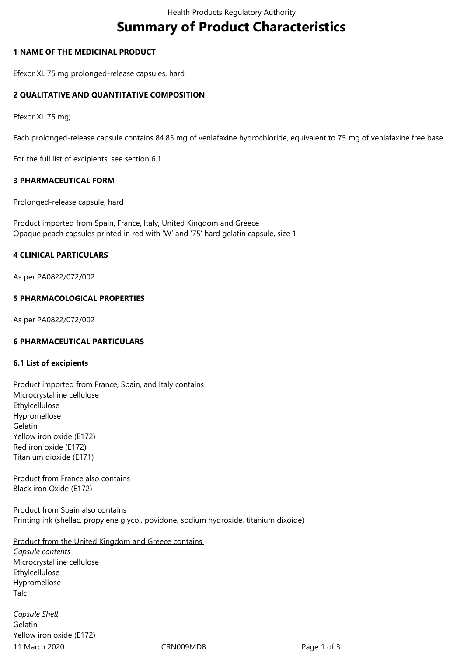# **Summary of Product Characteristics**

## **1 NAME OF THE MEDICINAL PRODUCT**

Efexor XL 75 mg prolonged-release capsules, hard

## **2 QUALITATIVE AND QUANTITATIVE COMPOSITION**

Efexor XL 75 mg;

Each prolonged-release capsule contains 84.85 mg of venlafaxine hydrochloride, equivalent to 75 mg of venlafaxine free base.

For the full list of excipients, see section 6.1.

### **3 PHARMACEUTICAL FORM**

Prolonged-release capsule, hard

Product imported from Spain, France, Italy, United Kingdom and Greece Opaque peach capsules printed in red with 'W' and '75' hard gelatin capsule, size 1

## **4 CLINICAL PARTICULARS**

As per PA0822/072/002

## **5 PHARMACOLOGICAL PROPERTIES**

As per PA0822/072/002

### **6 PHARMACEUTICAL PARTICULARS**

### **6.1 List of excipients**

Product imported from France, Spain, and Italy contains Microcrystalline cellulose Ethylcellulose Hypromellose Gelatin Yellow iron oxide (E172) Red iron oxide (E172) Titanium dioxide (E171)

Product from France also contains Black iron Oxide (E172)

Product from Spain also contains Printing ink (shellac, propylene glycol, povidone, sodium hydroxide, titanium dixoide)

## Product from the United Kingdom and Greece contains

*Capsule contents* Microcrystalline cellulose Ethylcellulose Hypromellose Talc

11 March 2020 CRN009MD8 Page 1 of 3 *Capsule Shell* Gelatin Yellow iron oxide (E172)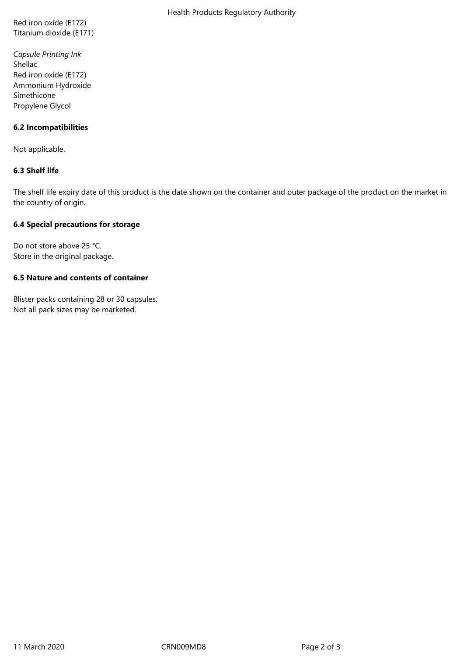Red iron oxide (E172) Titanium dioxide (E171)

*Capsule Printing Ink* Shellac Red iron oxide (E172) Ammonium Hydroxide Simethicone Propylene Glycol

## **6.2 Incompatibilities**

Not applicable.

## **6.3 Shelf life**

The shelf life expiry date of this product is the date shown on the container and outer package of the product on the market in the country of origin.

## **6.4 Special precautions for storage**

Do not store above 25 °C. Store in the original package.

## **6.5 Nature and contents of container**

Blister packs containing 28 or 30 capsules. Not all pack sizes may be marketed.